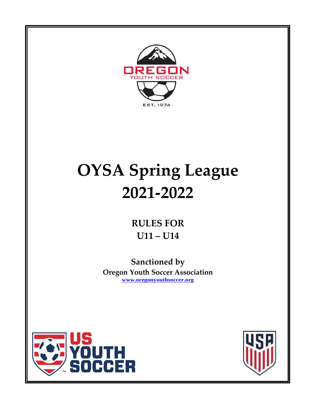

# **OYSA Spring League 2021-2022**

**RULES FOR U11 – U14**

**Sanctioned by Oregon Youth Soccer Association [www.oregonyouthsoccer.org](http://www.oregonyouthsoccer.org/)**



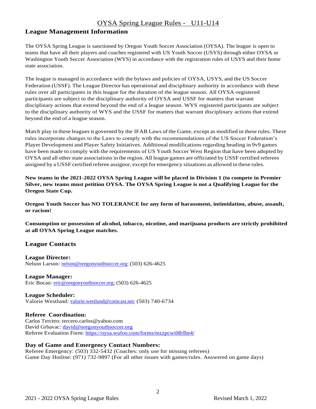## **League Management Information**

The OYSA Spring League is sanctioned by Oregon Youth Soccer Association (OYSA). The league is open to teams that have all their players and coaches registered with US Youth Soccer (USYS) through either OYSA or Washington Youth Soccer Association (WYS) in accordance with the registration rules of USYS and their home state association.

The league is managed in accordance with the bylaws and policies of OYSA, USYS, and the US Soccer Federation (USSF). The League Director has operational and disciplinary authority in accordance with these rules over all participants in this league for the duration of the league season. All OYSA-registered participants are subject to the disciplinary authority of OYSA and USSF for matters that warrant disciplinary actions that extend beyond the end of a league season. WYS registered participants are subject to the disciplinary authority of WYS and the USSF for matters that warrant disciplinary actions that extend beyond the end of a league season.

Match play in these leagues is governed by the IFAB Laws of the Game, except as modified in these rules. These rules incorporate changes to the Laws to comply with the recommendations of the US Soccer Federation's Player Development and Player Safety Initiatives. Additional modifications regarding heading in 9v9 games have been made to comply with the requirements of US Youth Soccer West Region that have been adopted by OYSA and all other state associations in the region. All league games are officiated by USSF certified referees assigned by a USSF certified referee assignor, except for emergency situations as allowed in these rules.

**New teams in the 2021-2022 OYSA Spring League will be placed in Division 1 (to compete in Premier Silver, new teams must petition OYSA. The OYSA Spring League is not a Qualifying League for the Oregon State Cup.**

**Oregon Youth Soccer has NO TOLERANCE for any form of harassment, intimidation, abuse, assault, or racism!**

**Consumption or possession of alcohol, tobacco, nicotine, and marijuana products are strictly prohibited at all OYSA Spring League matches.**

## **League Contacts**

**League Director:** Nelson Larson: [nelson@oregonyouthsoccer.org;](mailto:nelson@oregonyouthsoccer.org) (503) 626-4625

#### **League Manager:**

Eric Bocan: [eric@oregonyouthsoccer.org;](mailto:eric@oregonyouthsoccer.org) (503) 626-4625

#### **League Scheduler:**

Valorie Westlund: [valorie.westlund@comcast.net;](mailto:valorie.westlund@comcast.net) (503) 740-6734

#### **Referee Coordination:**

Carlos Tercero: tercero.carlos@yahoo.com David Grbavac: [david@oregonyouthsoccer.org](mailto:david@oregonyouthsoccer.org) Referee Evaluation Form:<https://oysa.wufoo.com/forms/mzzpcwi08rlbe4/>

#### **Day of Game and Emergency Contact Numbers:**

Referee Emergency: (503) 332-5432 (Coaches: only use for missing referees) Game Day Hotline: (971) 732-9897 (For all other issues with games/rules. Answered on game days)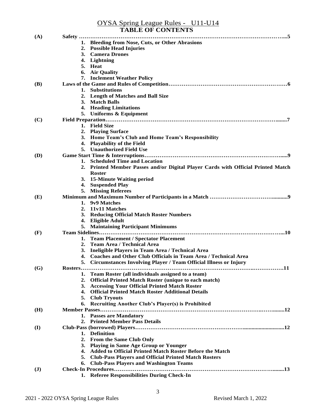|                | OYSA Spring League Rules - U11-U14<br><b>TABLE OF CONTENTS</b>                      |
|----------------|-------------------------------------------------------------------------------------|
| (A)            | Safety                                                                              |
|                | 1. Bleeding from Nose, Cuts, or Other Abrasions                                     |
|                | <b>Possible Head Injuries</b><br>2.                                                 |
|                | <b>Camera Drones</b><br>3.                                                          |
|                | Lightning<br>4.                                                                     |
|                | Heat<br>5.                                                                          |
|                | <b>Air Quality</b><br>6.                                                            |
|                | 7. Inclement Weather Policy                                                         |
| <b>(B)</b>     |                                                                                     |
|                | <b>Substitutions</b><br>1.                                                          |
|                | <b>Length of Matches and Ball Size</b><br>2.                                        |
|                | 3. Match Balls                                                                      |
|                | 4. Heading Limitations                                                              |
|                | 5. Uniforms & Equipment                                                             |
| (C)            |                                                                                     |
|                | 1. Field Size                                                                       |
|                | <b>Playing Surface</b><br>2.                                                        |
|                | Home Team's Club and Home Team's Responsibility<br>3.                               |
|                | <b>Playability of the Field</b><br>4.                                               |
|                | 5. Unauthorized Field Use                                                           |
| <b>(D)</b>     |                                                                                     |
|                | <b>Scheduled Time and Location</b><br>1.                                            |
|                | Printed Member Passes and/or Digital Player Cards with Official Printed Match<br>2. |
|                | <b>Roster</b>                                                                       |
|                | 3. 15-Minute Waiting period                                                         |
|                | <b>Suspended Play</b><br>4.                                                         |
|                | 5. Missing Referees                                                                 |
| (E)            |                                                                                     |
|                | 9v9 Matches<br>1.                                                                   |
|                | 11v11 Matches<br>2.                                                                 |
|                | <b>Reducing Official Match Roster Numbers</b><br>3.                                 |
|                | <b>Eligible Adult</b><br>4.                                                         |
|                | 5. Maintaining Participant Minimums                                                 |
| (F)            | Team Sidelines                                                                      |
|                | <b>Team Placement / Spectator Placement</b><br>1.                                   |
|                | <b>Team Area / Technical Area</b><br>2.                                             |
|                | 3. Ineligible Players in Team Area / Technical Area                                 |
|                | 4. Coaches and Other Club Officials in Team Area / Technical Area                   |
|                | <b>Circumstances Involving Player / Team Official Illness or Injury</b><br>5.       |
| (G)            |                                                                                     |
|                | Team Roster (all individuals assigned to a team)<br>1.                              |
|                | 2.<br><b>Official Printed Match Roster (unique to each match)</b>                   |
|                | <b>Accessing Your Official Printed Match Roster</b><br>3.                           |
|                | <b>Official Printed Match Roster Additional Details</b><br>4.                       |
|                | <b>Club Tryouts</b><br>5.                                                           |
|                | <b>Recruiting Another Club's Player(s) is Prohibited</b><br>6.                      |
| (H)            |                                                                                     |
|                | 1. Passes are Mandatory                                                             |
|                |                                                                                     |
|                | 2. Printed Member Pass Details                                                      |
| (I)            | 1. Definition                                                                       |
|                |                                                                                     |
|                | 2. From the Same Club Only                                                          |
|                | <b>Playing in Same Age Group or Younger</b><br>3.                                   |
|                | <b>Added to Official Printed Match Roster Before the Match</b><br>4.                |
|                | <b>Club-Pass Players and Official Printed Match Rosters</b><br>5.                   |
|                | <b>Club-Pass Players and Washington Teams</b><br>6.                                 |
| $(\mathbf{J})$ |                                                                                     |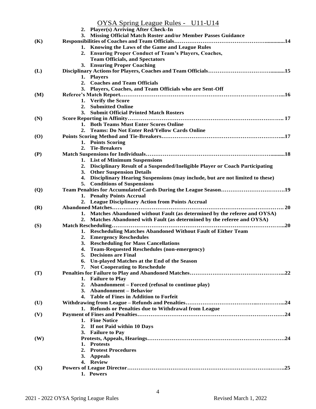|                | OYSA Spring League Rules - U11-U14                                                                                |
|----------------|-------------------------------------------------------------------------------------------------------------------|
|                | 2. Player(s) Arriving After Check-In                                                                              |
|                | 3. Missing Official Match Roster and/or Member Passes Guidance                                                    |
| (K)            |                                                                                                                   |
|                | 1. Knowing the Laws of the Game and League Rules                                                                  |
|                | 2. Ensuring Proper Conduct of Team's Players, Coaches,                                                            |
|                | <b>Team Officials, and Spectators</b>                                                                             |
|                | 3. Ensuring Proper Coaching                                                                                       |
| (L)            | 1. Players                                                                                                        |
|                | <b>Coaches and Team Officials</b><br>2.                                                                           |
|                | 3. Players, Coaches, and Team Officials who are Sent-Off                                                          |
| (M)            |                                                                                                                   |
|                | <b>Verify the Score</b><br>1.                                                                                     |
|                | <b>Submitted Online</b><br>2.                                                                                     |
|                | <b>Submit Official Printed Match Rosters</b><br>3.                                                                |
| (N)            |                                                                                                                   |
|                | 1. Both Teams Must Enter Scores Online                                                                            |
|                | <b>Teams: Do Not Enter Red/Yellow Cards Online</b><br>2.                                                          |
| (O)            |                                                                                                                   |
|                | 1. Points Scoring                                                                                                 |
|                | <b>Tie-Breakers</b><br>2.                                                                                         |
| (P)            |                                                                                                                   |
|                | 1. List of Minimum Suspensions                                                                                    |
|                | 2. Disciplinary Result of a Suspended/Ineligible Player or Coach Participating<br><b>Other Suspension Details</b> |
|                | 3.<br>Disciplinary Hearing Suspensions (may include, but are not limited to these)<br>4.                          |
|                | 5. Conditions of Suspensions                                                                                      |
| $\overline{Q}$ | Team Penalties for Accumulated Cards During the League Season19                                                   |
|                | 1. Penalty Points Accrual                                                                                         |
|                | 2. League Disciplinary Action from Points Accrual                                                                 |
| (R)            |                                                                                                                   |
|                | 1. Matches Abandoned without Fault (as determined by the referee and OYSA)                                        |
|                | Matches Abandoned with Fault (as determined by the referee and OYSA)<br>2.                                        |
| (S)            |                                                                                                                   |
|                | Rescheduling Matches Abandoned Without Fault of Either Team<br>1.                                                 |
|                | 2. Emergency Reschedules                                                                                          |
|                | <b>Rescheduling for Mass Cancellations</b><br>3.                                                                  |
|                | <b>Team-Requested Reschedules (non-emergency)</b><br>4.                                                           |
|                | 5. Decisions are Final                                                                                            |
|                | Un-played Matches at the End of the Season<br>6.                                                                  |
| (T)            | 7. Not Cooperating to Reschedule                                                                                  |
|                | 1. Failure to Play                                                                                                |
|                | Abandonment – Forced (refusal to continue play)<br>2.                                                             |
|                | <b>Abandonment – Behavior</b><br>3.                                                                               |
|                | <b>Table of Fines in Addition to Forfeit</b><br>4.                                                                |
| (U)            |                                                                                                                   |
|                | 1. Refunds or Penalties due to Withdrawal from League                                                             |
| (V)            |                                                                                                                   |
|                | 1. Fine Notice                                                                                                    |
|                | 2. If not Paid within 10 Days                                                                                     |
|                | 3. Failure to Pay                                                                                                 |
| (W)            |                                                                                                                   |
|                | 1. Protests                                                                                                       |
|                | 2. Protest Procedures                                                                                             |
|                | 3.<br><b>Appeals</b>                                                                                              |
|                | 4. Review                                                                                                         |
| (X)            |                                                                                                                   |
|                | 1. Powers                                                                                                         |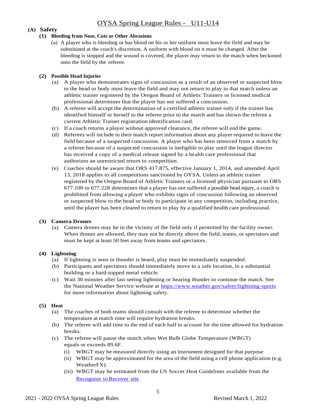#### **(A) Safety**

#### **(1) Bleeding from Nose, Cuts or Other Abrasions**

(a) A player who is bleeding or has blood on his or her uniform must leave the field and may be substituted at the coach's discretion. A uniform with blood on it must be changed. After the bleeding is stopped and the wound is covered, the player may return to the match when beckoned onto the field by the referee.

#### **(2) Possible Head Injuries**

- (a) A player who demonstrates signs of concussion as a result of an observed or suspected blow to the head or body must leave the field and may not return to play in that match unless an athletic trainer registered by the Oregon Board of Athletic Trainers or licensed medical professional determines that the player has not suffered a concussion.
- (b) A referee will accept the determination of a certified athletic trainer only if the trainer has identified himself or herself to the referee prior to the match and has shown the referee a current Athletic Trainer registration identification card.
- (c) If a coach returns a player without approved clearance, the referee will end the game.
- (d) Referees will include in their match report information about any player required to leave the field because of a suspected concussion. A player who has been removed from a match by a referee because of a suspected concussion is ineligible to play until the league director has received a copy of a medical release signed by a health care professional that authorizes an unrestricted return to competition.
- (e) Coaches should be aware that ORS 417.875, effective January 1, 2014, and amended April 13, 2018 applies to all competitions sanctioned by OYSA. Unless an athletic trainer registered by the Oregon Board of Athletic Trainers or a licensed physician pursuant to ORS 677.100 to 677.228 determines that a player has not suffered a possible head injury, a coach is prohibited from allowing a player who exhibits signs of concussion following an observed or suspected blow to the head or body to participate in any competition, including practice, until the player has been cleared to return to play by a qualified health care professional.

#### **(3) Camera Drones**

(a) Camera drones may be in the vicinity of the field only if permitted by the facility owner. When drones are allowed, they may not be directly above the field, teams, or spectators and must be kept at least 50 feet away from teams and spectators.

#### **(4) Lightning**

- (a) If lightning is seen or thunder is heard, play must be immediately suspended.
- (b) Participants and spectators should immediately move to a safe location, in a substantial building or a hard-topped metal vehicle.
- (c) Wait 30 minutes after last seeing lightning or hearing thunder to continue the match. See the National Weather Service website at<https://www.weather.gov/safety/lightning-sports> for more information about lightning safety.

#### **(5) Heat**

- (a) The coaches of both teams should consult with the referee to determine whether the temperature at match time will require hydration breaks.
- (b) The referee will add time to the end of each half to account for the time allowed for hydration breaks.
- (c) The referee will pause the match when Wet Bulb Globe Temperature (WBGT) equals or exceeds 89.6F.
	- (i) WBGT may be measured directly using an instrument designed for that purpose
	- (ii) WBGT may be approximated for the area of the field using a cell phone application (e.g. WeatherFX).
	- (iii) WBGT may be estimated from the US Soccer Heat Guidelines available from the [Recognize](https://static1.squarespace.com/static/57125d942eeb814000fb1ca5/t/571a36ac8a65e2cccb5e7039/1461335725326/Heat+Guidelines.pdf) to Recover site.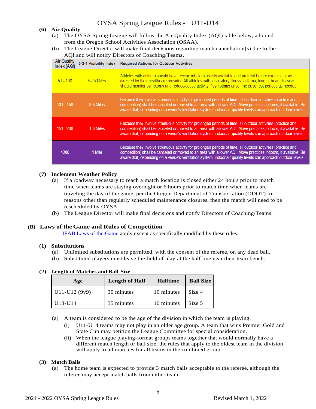#### **(6) Air Quality**

- (a) The OYSA Spring League will follow the Air Quality Index (AQI) table below, adopted from the Oregon School Activities Association (OSAA).
- (b) The League Director will make final decisions regarding match cancellation(s) due to the AQI and will notify Directors of Coaching/Teams.

| <b>Air Quality</b><br>Index (AQI) | 5-3-1 Visibility Index | <b>Required Actions for Outdoor Activities</b>                                                                                                                                                                                                                                                                                                |  |
|-----------------------------------|------------------------|-----------------------------------------------------------------------------------------------------------------------------------------------------------------------------------------------------------------------------------------------------------------------------------------------------------------------------------------------|--|
| $51 - 100$                        | 5-15 Miles             | Athletes with asthma should have rescue inhalers readily available and pretreat before exercise or as<br>directed by their healthcare provider. All athletes with respiratory illness, asthma, lung or heart disease<br>should monitor symptoms and reduce/cease activity if symptoms arise. Increase rest periods as needed.                 |  |
| $101 - 150$                       | 3-5 Miles              | Because they involve strenuous activity for prolonged periods of time, all outdoor activities (practice and<br>competition) shall be canceled or moved to an area with a lower AQI. Move practices indoors, if available. Be<br>aware that, depending on a venue's ventilation system, indoor air quality levels can approach outdoor levels. |  |
| $151 - 200$                       | 1-3 Miles              | Because they involve strenuous activity for prolonged periods of time, all outdoor activities (practice and<br>competition) shall be canceled or moved to an area with a lower AQI. Move practices indoors, if available. Be<br>aware that, depending on a venue's ventilation system, indoor air quality levels can approach outdoor levels. |  |
| >200                              | 1 Mile                 | Because they involve strenuous activity for prolonged periods of time, all outdoor activities (practice and<br>competition) shall be canceled or moved to an area with a lower AQI. Move practices indoors, if available. Be<br>aware that, depending on a venue's ventilation system, indoor air quality levels can approach outdoor levels. |  |

#### **(7) Inclement Weather Policy**

- (a) If a roadway necessary to reach a match location is closed either 24 hours prior to match time when teams are staying overnight or 6 hours prior to match time when teams are traveling the day of the game, per the Oregon Department of Transportation (ODOT) for reasons other than regularly scheduled maintenance closures, then the match will need to be rescheduled by OYSA.
- (b) The League Director will make final decisions and notify Directors of Coaching/Teams.

#### **(B) Laws of the Game and Rules of Competition**

[IFAB Laws of the Game](https://www.theifab.com/) apply except as specifically modified by these rules.

#### **(1) Substitutions**

- (a) Unlimited substitutions are permitted, with the consent of the referee, on any dead ball.
- (b) Substituted players must leave the field of play at the half line near their team bench.

| <b>Length of Half</b><br>Age |            | <b>Halftime</b> | <b>Ball Size</b> |
|------------------------------|------------|-----------------|------------------|
| $U11-U12(9v9)$               | 30 minutes | 10 minutes      | Size 4           |
| U13-U14                      | 35 minutes | 10 minutes      | Size 5           |

#### **(2) Length of Matches and Ball Size**

(a) A team is considered to be the age of the division in which the team is playing.

- (i) U11-U14 teams may not play in an older age group. A team that wins Premier Gold and State Cup may petition the League Committee for special consideration.
- (ii) When the league playing-format groups teams together that would normally have a different match length or ball size, the rules that apply to the oldest team in the division will apply to all matches for all teams in the combined group.

#### **(3) Match Balls**

(a) The home team is expected to provide 3 match balls acceptable to the referee, although the referee may accept match balls from either team.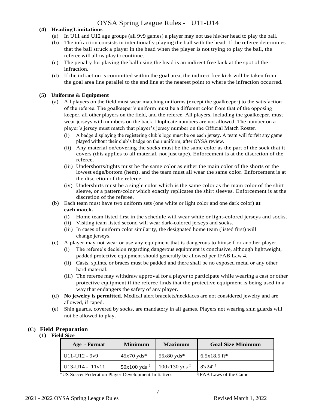#### **(4) HeadingLimitations**

- (a) In U11 and U12 age groups (all 9v9 games) a player may not use his/her head to play the ball.
- (b) The infraction consists in intentionally playing the ball with the head. If the referee determines that the ball struck a player in the head when the player is not trying to play the ball, the referee will allow play to continue.
- (c) The penalty for playing the ball using the head is an indirect free kick at the spot of the infraction.
- (d) If the infraction is committed within the goal area, the indirect free kick will be taken from the goal area line parallel to the end line at the nearest point to where the infraction occurred.

#### **(5) Uniforms & Equipment**

- (a) All players on the field must wear matching uniforms (except the goalkeeper) to the satisfaction of the referee. The goalkeeper's uniform must be a different color from that of the opposing keeper, all other players on the field, and the referee. All players, including the goalkeeper, must wear jerseys with numbers on the back. Duplicate numbers are not allowed. The number on a player's jersey must match that player's jersey number on the Official Match Roster.
	- (i) A badge displaying the registering club's logo must be on each jersey. A team will forfeit any game played without their club's badge on their uniform, after OYSA review.
	- (ii) Any material on/covering the socks must be the same color as the part of the sock that it covers (this applies to all material, not just tape). Enforcement is at the discretion of the referee.
	- (iii) Undershorts/tights must be the same color as either the main color of the shorts or the lowest edge/bottom (hem), and the team must all wear the same color. Enforcement is at the discretion of the referee.
	- (iv) Undershirts must be a single color which is the same color as the main color of the shirt sleeve, or a pattern/color which exactly replicates the shirt sleeves. Enforcement is at the discretion of the referee.
- (b) Each team must have two uniform sets (one white or light color and one dark color) **at each match.**
	- (i) Home team listed first in the schedule will wear white or light-colored jerseys and socks.
	- (ii) Visiting team listed second will wear dark-colored jerseys and socks.
	- (iii) In cases of uniform color similarity, the designated home team (listed first) will change jerseys.
- (c) A player may not wear or use any equipment that is dangerous to himself or another player.
	- (i) The referee's decision regarding dangerous equipment is conclusive, although lightweight, padded protective equipment should generally be allowed per IFAB Law 4.
	- (ii) Casts, splints, or braces must be padded and there shall be no exposed metal or any other hard material.
	- (iii) The referee may withdraw approval for a player to participate while wearing a cast or other protective equipment if the referee finds that the protective equipment is being used in a way that endangers the safety of any player.
- (d) **No jewelry is permitted**. Medical alert bracelets/necklaces are not considered jewelry and are allowed, if taped.
- (e) Shin guards, covered by socks, are mandatory in all games. Players not wearing shin guards will not be allowed to play.

## **(C) Field Preparation**

#### **(1) Field Size**

| Age - Format                           | <b>Minimum</b>           | <b>Maximum</b>            | <b>Goal Size Minimum</b> |
|----------------------------------------|--------------------------|---------------------------|--------------------------|
| $U11-U12 - 9y9$                        | $45x70yds*$              | $55x80yds*$               | $6.5x18.5$ ft*           |
| $\text{U}13-\text{U}14 - \text{11v}11$ | $50x100yds$ <sup>‡</sup> | $100x130yds$ <sup>‡</sup> | 8'x24'                   |

\*US Soccer Federation Player Development Initiatives

‡ IFAB Laws of the Game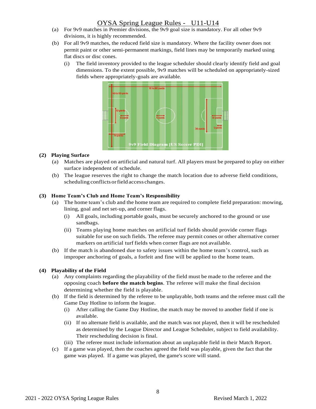- (a) For 9v9 matches in Premier divisions, the 9v9 goal size is mandatory. For all other 9v9 divisions, it is highly recommended.
- (b) For all 9v9 matches, the reduced field size is mandatory. Where the facility owner does not permit paint or other semi-permanent markings, field lines may be temporarily marked using flat discs or disc cones.
	- (i) The field inventory provided to the league scheduler should clearly identify field and goal dimensions. To the extent possible, 9v9 matches will be scheduled on appropriately-sized fields where appropriately-goals are available.



#### **(2) Playing Surface**

- (a) Matches are played on artificial and natural turf. All players must be prepared to play on either surface independent of schedule.
- (b) The league reserves the right to change the match location due to adverse field conditions, scheduling conflicts orfield access changes.

#### **(3) Home Team's Club and Home Team's Responsibility**

- (a) The home team's club and the home team are required to complete field preparation: mowing, lining, goal and net set-up, and corner flags.
	- (i) All goals, including portable goals, must be securely anchored to the ground or use sandbags.
	- (ii) Teams playing home matches on artificial turf fields should provide corner flags suitable for use on such fields. The referee may permit cones or other alternative corner markers on artificial turf fields when corner flags are not available.
- (b) If the match is abandoned due to safety issues within the home team's control, such as improper anchoring of goals, a forfeit and fine will be applied to the home team.

#### **(4) Playability of the Field**

- (a) Any complaints regarding the playability of the field must be made to the referee and the opposing coach **before the match begins**. The referee will make the final decision determining whether the field is playable.
- (b) If the field is determined by the referee to be unplayable, both teams and the referee must call the Game Day Hotline to inform the league.
	- (i) After calling the Game Day Hotline, the match may be moved to another field if one is available.
	- (ii) If no alternate field is available, and the match was not played, then it will be rescheduled as determined by the League Director and League Scheduler, subject to field availability. Their rescheduling decision is final.
	- (iii) The referee must include information about an unplayable field in their Match Report.
- (c) If a game was played, then the coaches agreed the field was playable, given the fact that the game was played. If a game was played, the game's score will stand.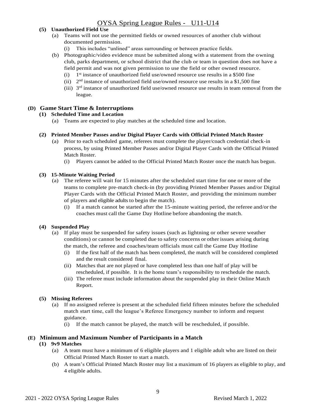#### **(5) Unauthorized Field Use**

- (a) Teams will not use the permitted fields or owned resources of another club without documented permission.
	- (i) This includes "unlined" areas surrounding or between practice fields.
- (b) Photographic/video evidence must be submitted along with a statement from the owning club, parks department, or school district that the club or team in question does not have a field permit and was not given permission to use the field or other owned resource.
	- $(i)$  1<sup>st</sup> instance of unauthorized field use/owned resource use results in a \$500 fine
	- (ii)  $2<sup>nd</sup>$  instance of unauthorized field use/owned resource use results in a \$1,500 fine
	- (iii)  $3<sup>rd</sup>$  instance of unauthorized field use/owned resource use results in team removal from the league.

#### **(D) Game Start Time & Interruptions**

#### **(1) Scheduled Time and Location**

(a) Teams are expected to play matches at the scheduled time and location.

#### **(2) Printed Member Passes and/or Digital Player Cards with Official Printed Match Roster**

- (a) Prior to each scheduled game, referees must complete the player/coach credential check-in process, by using Printed Member Passes and/or Digital Player Cards with the Official Printed Match Roster.
	- (i) Players cannot be added to the Official Printed Match Roster once the match has begun.

#### **(3) 15-Minute Waiting Period**

- (a) The referee will wait for 15 minutes after the scheduled start time for one or more of the teams to complete pre-match check-in (by providing Printed Member Passes and/or Digital Player Cards with the Official Printed Match Roster, and providing the minimum number of players and eligible adults to begin the match).
	- (i) If a match cannot be started after the 15-minute waiting period, the referee and/or the coaches must call the Game Day Hotline before abandoning the match.

#### **(4) Suspended Play**

- (a) If play must be suspended for safety issues (such as lightning or other severe weather conditions) or cannot be completed due to safety concerns or otherissues arising during the match, the referee and coaches/team officials must call the Game Day Hotline
	- (i) If the first half of the match has been completed, the match will be considered completed and the result considered final.
	- (ii) Matches that are not played or have completed less than one half of play will be rescheduled, if possible. It is the home team's responsibility to reschedule the match.
	- (iii) The referee must include information about the suspended play in their Online Match Report.

#### **(5) Missing Referees**

- (a) If no assigned referee is present at the scheduled field fifteen minutes before the scheduled match start time, call the league's Referee Emergency number to inform and request guidance.
	- (i) If the match cannot be played, the match will be rescheduled, if possible.

#### **(E) Minimum and Maximum Number of Participants in a Match**

#### **(1) 9v9 Matches**

- (a) A team must have a minimum of 6 eligible players and 1 eligible adult who are listed on their Official Printed Match Roster to start a match.
- (b) A team's Official Printed Match Roster may list a maximum of 16 players as eligible to play, and 4 eligible adults.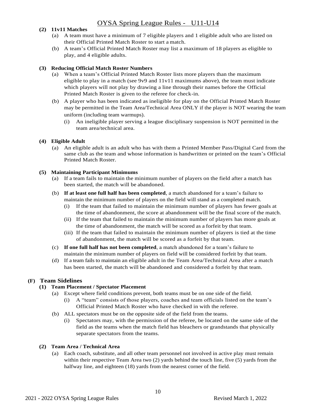#### **(2) 11v11 Matches**

- (a) A team must have a minimum of 7 eligible players and 1 eligible adult who are listed on their Official Printed Match Roster to start a match.
- (b) A team's Official Printed Match Roster may list a maximum of 18 players as eligible to play, and 4 eligible adults.

#### **(3) Reducing Official Match Roster Numbers**

- (a) When a team's Official Printed Match Roster lists more players than the maximum eligible to play in a match (see 9v9 and 11v11 maximums above), the team must indicate which players will not play by drawing a line through their names before the Official Printed Match Roster is given to the referee for check-in.
- (b) A player who has been indicated as ineligible for play on the Official Printed Match Roster may be permitted in the Team Area/Technical Area ONLY if the player is NOT wearing the team uniform (including team warmups).
	- (i) An ineligible player serving a league disciplinary suspension is NOT permitted in the team area/technical area.

#### **(4) Eligible Adult**

(a) An eligible adult is an adult who has with them a Printed Member Pass/Digital Card from the same club as the team and whose information is handwritten or printed on the team's Official Printed Match Roster.

#### **(5) Maintaining Participant Minimums**

- (a) If a team fails to maintain the minimum number of players on the field after a match has been started, the match will be abandoned.
- (b) **If at least one full half has been completed**, a match abandoned for a team's failure to maintain the minimum number of players on the field will stand as a completed match.
	- (i) If the team that failed to maintain the minimum number of players has fewer goals at the time of abandonment, the score at abandonment will be the final score of the match.
	- (ii) If the team that failed to maintain the minimum number of players has more goals at the time of abandonment, the match will be scored as a forfeit by that team.
	- (iii) If the team that failed to maintain the minimum number of players is tied at the time of abandonment, the match will be scored as a forfeit by that team.
- (c) **If one full half has not been completed**, a match abandoned for a team's failure to maintain the minimum number of players on field will be considered forfeit by that team.
- (d) If a team fails to maintain an eligible adult in the Team Area/Technical Area after a match has been started, the match will be abandoned and considered a forfeit by that team.

#### **(F) Team Sidelines**

#### **(1) Team Placement / Spectator Placement**

- (a) Except where field conditions prevent, both teams must be on one side of the field.
	- (i) A "team" consists of those players, coaches and team officials listed on the team's Official Printed Match Roster who have checked in with the referee.
- (b) ALL spectators must be on the opposite side of the field from the teams.
	- (i) Spectators may, with the permission of the referee, be located on the same side of the field as the teams when the match field has bleachers or grandstands that physically separate spectators from the teams.

#### **(2) Team Area / Technical Area**

(a) Each coach, substitute, and all other team personnel not involved in active play must remain within their respective Team Area two (2) yards behind the touch line, five (5) yards from the halfway line, and eighteen (18) yards from the nearest corner of the field.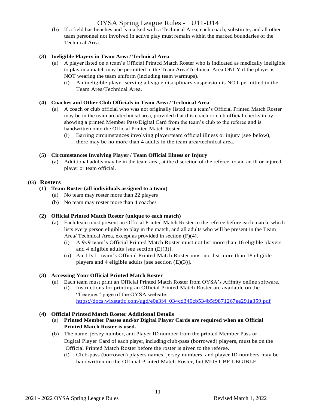(b) If a field has benches and is marked with a Technical Area, each coach, substitute, and all other team personnel not involved in active play must remain within the marked boundaries of the Technical Area.

#### **(3) Ineligible Players in Team Area / Technical Area**

- (a) A player listed on a team's Official Printed Match Roster who is indicated as medically ineligible to play in a match may be permitted in the Team Area/Technical Area ONLY if the player is NOT wearing the team uniform (including team warmups).
	- (i) An ineligible player serving a league disciplinary suspension is NOT permitted in the Team Area/Technical Area.

#### **(4) Coaches and Other Club Officials in Team Area / Technical Area**

- (a) A coach or club official who was not originally listed on a team's Official Printed Match Roster may be in the team area/technical area, provided that this coach or club official checks in by showing a printed Member Pass/Digital Card from the team's club to the referee and is handwritten onto the Official Printed Match Roster.
	- (i) Barring circumstances involving player/team official illness or injury (see below), there may be no more than 4 adults in the team area/technical area.

#### **(5) Circumstances Involving Player / Team Official Illness or Injury**

(a) Additional adults may be in the team area, at the discretion of the referee, to aid an ill or injured player or team official.

#### **(G) Rosters**

#### **(1) Team Roster (all individuals assigned to a team)**

- (a) No team may roster more than 22 players
- (b) No team may roster more than 4 coaches

#### **(2) Official Printed Match Roster (unique to each match)**

- (a) Each team must present an Official Printed Match Roster to the referee before each match, which lists every person eligible to play in the match, and all adults who will be present in the Team Area/ Technical Area, except as provided in section (F)(4).
	- (i) A 9v9 team's Official Printed Match Roster must not list more than 16 eligible players and 4 eligible adults [see section (E)(3)].
	- (ii) An 11v11 team's Official Printed Match Roster must not list more than 18 eligible players and 4 eligible adults [see section (E)(3)].

#### **(3) Accessing Your Official Printed Match Roster**

- (a) Each team must print an Official Printed Match Roster from OYSA's Affinity online software.
	- (i) Instructions for printing an Official Printed Match Roster are available on the "Leagues" page of the OYSA website: [https://docs.wixstatic.com/ugd/e0e3f4\\_034cd340cb534b5f9871267ee291a359.pdf](https://docs.wixstatic.com/ugd/e0e3f4_034cd340cb534b5f9871267ee291a359.pdf)

#### **(4) Official Printed Match Roster Additional Details**

- (a) **Printed Member Passes and/or Digital Player Cards are required when an Official Printed Match Roster is used.**
- (b) The name, jersey number, and Player ID number from the printed Member Pass or Digital Player Card of each player, including club-pass (borrowed) players, must be on the Official Printed Match Roster before the roster is given to the referee.
	- (i) Club-pass (borrowed) players names, jersey numbers, and player ID numbers may be handwritten on the Official Printed Match Roster, but MUST BE LEGIBLE.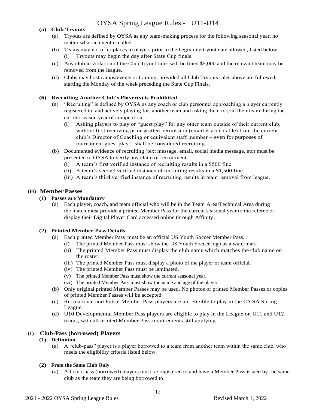#### **(5) Club Tryouts**

- (a) Tryouts are defined by OYSA as any team-making process for the following seasonal year, no matter what an event is called.
- (b) Teams may not offer places to players prior to the beginning tryout date allowed, listed below. (i) Tryouts may begin the day after State Cup finals.
- (c) Any club in violation of the Club Tryout rules will be fined \$5,000 and the relevant team may be removed from the league.
- (d) Clubs may host camps/events or training, provided all Club Tryouts rules above are followed, starting the Monday of the week preceding the State Cup Finals.

#### **(6) Recruiting Another Club's Player(s) is Prohibited**

- (a) "Recruiting" is defined by OYSA as any coach or club personnel approaching a player currently registered to, and actively playing for, another team and asking them to join their team during the current season year of competition.
	- (i) Asking players to play or "guest play" for any other team outside of their current club, without first receiving prior written permission (email is acceptable) from the current club's Director of Coaching or equivalent staff member – even for purposes of tournament guest play – shall be considered recruiting.
- (b) Documented evidence of recruiting (text message, email, social media message, etc) must be presented to OYSA to verify any claim of recruitment.
	- (i) A team's first verified instance of recruiting results in a \$500 fine.
	- (ii) A team's second verified instance of recruiting results in a \$1,500 fine.
	- (iii) A team's third verified instance of recruiting results in team removal from league.

#### **(H) Member Passes**

#### **(1) Passes are Mandatory**

(a) Each player, coach, and team official who will be in the Team Area/Technical Area during the match must provide a printed Member Pass for the current seasonal year to the referee or display their Digital Player Card accessed online through Affinity.

#### **(2) Printed Member Pass Details**

- (a) Each printed Member Pass must be an official US Youth Soccer Member Pass.
	- (i) The printed Member Pass must show the US Youth Soccer logo as a watermark.
	- (ii) The printed Member Pass must display the club name which matches the club name on the roster.
	- (iii) The printed Member Pass must display a photo of the player or team official.
	- (iv) The printed Member Pass must be laminated.
	- (v) The printed Member Pass must show the current seasonal year.
	- (vi) The printed Member Pass must show the name and age of the player.
- (b) Only original printed Member Passes may be used. No photos of printed Member Passes or copies of printed Member Passes will be accepted.
- (c) Recreational and Futsal Member Pass players are not eligible to play in the OYSA Spring League.
- (d) U10 Developmental Member Pass players are eligible to play in the League on U11 and U12 teams, with all printed Member Pass requirements still applying.

#### **(I) Club-Pass (borrowed) Players**

- **(1) Definition**
	- (a) A "club-pass" player is a player borrowed to a team from another team within the same club, who meets the eligibility criteria listed below.

#### **(2) From the Same Club Only**

(a) All club-pass (borrowed) players must be registered to and have a Member Pass issued by the same club as the team they are being borrowed to.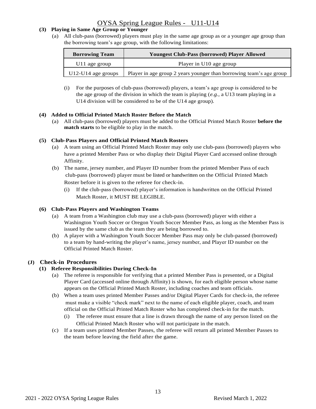#### **(3) Playing in Same Age Group or Younger**

(a) All club-pass (borrowed) players must play in the same age group as or a younger age group than the borrowing team's age group, with the following limitations:

| <b>Borrowing Team</b>     | <b>Youngest Club-Pass (borrowed) Player Allowed</b>                 |
|---------------------------|---------------------------------------------------------------------|
| U <sub>11</sub> age group | Player in U10 age group                                             |
| $U12-U14$ age groups      | Player in age group 2 years younger than borrowing team's age group |

(i) For the purposes of club-pass (borrowed) players, a team's age group is considered to be the age group of the division in which the team is playing (*e.g.,* a U13 team playing in a U14 division will be considered to be of the U14 age group).

#### **(4) Added to Official Printed Match Roster Before the Match**

(a) All club-pass (borrowed) players must be added to the Official Printed Match Roster **before the match starts** to be eligible to play in the match.

#### **(5) Club-Pass Players and Official Printed Match Rosters**

- (a) A team using an Official Printed Match Roster may only use club-pass (borrowed) players who have a printed Member Pass or who display their Digital Player Card accessed online through Affinity.
- (b) The name, jersey number, and Player ID number from the printed Member Pass of each club-pass (borrowed) player must be listed or handwritten on the Official Printed Match Roster before it is given to the referee for check-in.
	- (i) If the club-pass (borrowed) player's information is handwritten on the Official Printed Match Roster, it MUST BE LEGIBLE.

#### **(6) Club-Pass Players and Washington Teams**

- (a) A team from a Washington club may use a club-pass (borrowed) player with either a Washington Youth Soccer or Oregon Youth Soccer Member Pass, as long as the Member Pass is issued by the same club as the team they are being borrowed to.
- (b) A player with a Washington Youth Soccer Member Pass may only be club-passed (borrowed) to a team by hand-writing the player's name, jersey number, and Player ID number on the Official Printed Match Roster.

#### **(J) Check-in Procedures**

#### **(1) Referee Responsibilities During Check-In**

- (a) The referee is responsible for verifying that a printed Member Pass is presented, or a Digital Player Card (accessed online through Affinity) is shown, for each eligible person whose name appears on the Official Printed Match Roster, including coaches and team officials.
- (b) When a team uses printed Member Passes and/or Digital Player Cards for check-in, the referee must make a visible "check mark" next to the name of each eligible player, coach, and team official on the Official Printed Match Roster who has completed check-in for the match.
	- (i) The referee must ensure that a line is drawn through the name of any person listed on the Official Printed Match Roster who will not participate in the match.
- (c) If a team uses printed Member Passes, the referee will return all printed Member Passes to the team before leaving the field after the game.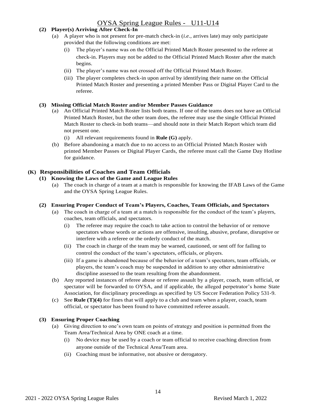#### **(2) Player(s) Arriving After Check-In**

- (a) A player who is not present for pre-match check-in (*i.e.,* arrives late) may only participate provided that the following conditions are met:
	- (i) The player's name was on the Official Printed Match Roster presented to the referee at check-in. Players may not be added to the Official Printed Match Roster after the match begins.
	- (ii) The player's name was not crossed off the Official Printed Match Roster.
	- (iii) The player completes check-in upon arrival by identifying their name on the Official Printed Match Roster and presenting a printed Member Pass or Digital Player Card to the referee.

#### **(3) Missing Official Match Roster and/or Member Passes Guidance**

- (a) An Official Printed Match Roster lists both teams. If one of the teams does not have an Official Printed Match Roster, but the other team does, the referee may use the single Official Printed Match Roster to check-in both teams—and should note in their Match Report which team did not present one.
	- (i) All relevant requirements found in **Rule (G)** apply.
- (b) Before abandoning a match due to no access to an Official Printed Match Roster with printed Member Passes or Digital Player Cards, the referee must call the Game Day Hotline for guidance.

## **(K) Responsibilities of Coaches and Team Officials**

#### **(1) Knowing the Laws of the Game and League Rules**

(a) The coach in charge of a team at a match is responsible for knowing the IFAB Laws of the Game and the OYSA Spring League Rules.

#### **(2) Ensuring Proper Conduct of Team's Players, Coaches, Team Officials, and Spectators**

- (a) The coach in charge of a team at a match is responsible for the conduct of the team's players, coaches, team officials, and spectators.
	- (i) The referee may require the coach to take action to control the behavior of or remove spectators whose words or actions are offensive, insulting, abusive, profane, disruptive or interfere with a referee or the orderly conduct of the match.
	- (ii) The coach in charge of the team may be warned, cautioned, or sent off for failing to control the conduct of the team's spectators, officials, or players.
	- (iii) If a game is abandoned because of the behavior of a team's spectators, team officials, or players, the team's coach may be suspended in addition to any other administrative discipline assessed to the team resulting from the abandonment.
- (b) Any reported instances of referee abuse or referee assault by a player, coach, team official, or spectator will be forwarded to OYSA, and if applicable, the alleged perpetrator's home State Association, for disciplinary proceedings as specified by US Soccer Federation Policy 531-9.
- (c) See **Rule [\(T\)\(4\)](#page-22-0)** for fines that will apply to a club and team when a player, coach, team official, or spectator has been found to have committed referee assault.

#### **(3) Ensuring Proper Coaching**

- (a) Giving direction to one's own team on points of strategy and position is permitted from the Team Area/Technical Area by ONE coach at a time.
	- (i) No device may be used by a coach or team official to receive coaching direction from anyone outside of the Technical Area/Team area.
	- (ii) Coaching must be informative, not abusive or derogatory.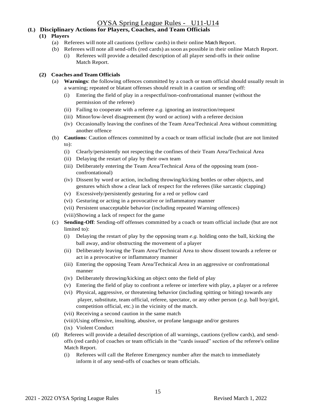#### **(L) Disciplinary Actions for Players, Coaches, and Team Officials**

#### **(1) Players**

- (a) Referees will note all cautions (yellow cards) in their online Match Report.
- (b) Referees will note allsend-offs (red cards) assoon as possible in their online Match Report.
	- (i) Referees will provide a detailed description of all player send-offs in their online Match Report.

#### **(2) Coaches and Team Officials**

- (a) **Warnings**: the following offences committed by a coach or team official should usually result in a warning; repeated or blatant offenses should result in a caution or sending off:
	- (i) Entering the field of play in a respectful/non-confrontational manner (without the permission of the referee)
	- (ii) Failing to cooperate with a referee *e.g.* ignoring an instruction/request
	- (iii) Minor/low-level disagreement (by word or action) with a referee decision
	- (iv) Occasionally leaving the confines of the Team Area/Technical Area without committing another offence
- (b) **Cautions**: Caution offences committed by a coach or team official include (but are not limited to):
	- (i) Clearly/persistently not respecting the confines of their Team Area/Technical Area
	- (ii) Delaying the restart of play by their own team
	- (iii) Deliberately entering the Team Area/Technical Area of the opposing team (nonconfrontational)
	- (iv) Dissent by word or action, including throwing/kicking bottles or other objects, and gestures which show a clear lack of respect for the referees (like sarcastic clapping)
	- (v) Excessively/persistently gesturing for a red or yellow card
	- (vi) Gesturing or acting in a provocative or inflammatory manner
	- (vii) Persistent unacceptable behavior (including repeated Warning offences)

(viii)Showing a lack of respect for the game

- (c) **Sending-Off**: Sending-off offenses committed by a coach or team official include (but are not limited to):
	- (i) Delaying the restart of play by the opposing team *e.g.* holding onto the ball, kicking the ball away, and/or obstructing the movement of a player
	- (ii) Deliberately leaving the Team Area/Technical Area to show dissent towards a referee or act in a provocative or inflammatory manner
	- (iii) Entering the opposing Team Area/Technical Area in an aggressive or confrontational manner
	- (iv) Deliberately throwing/kicking an object onto the field of play
	- (v) Entering the field of play to confront a referee or interfere with play, a player or a referee
	- (vi) Physical, aggressive, or threatening behavior (including spitting or biting) towards any player, substitute, team official, referee, spectator, or any other person (*e.g.* ball boy/girl, competition official, etc.) in the vicinity of the match.
	- (vii) Receiving a second caution in the same match
	- (viii)Using offensive, insulting, abusive, or profane language and/or gestures
	- (ix) Violent Conduct
- (d) Referees will provide a detailed description of all warnings, cautions (yellow cards), and sendoffs (red cards) of coaches or team officials in the "cards issued" section of the referee's online Match Report.
	- (i) Referees will call the Referee Emergency number after the match to immediately inform it of any send-offs of coaches or team officials.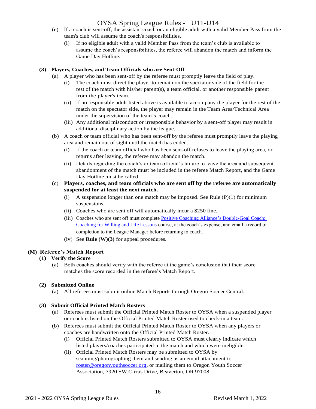- (e) If a coach is sent-off, the assistant coach or an eligible adult with a valid Member Pass from the team's club will assume the coach's responsibilities.
	- (i) If no eligible adult with a valid Member Pass from the team's club is available to assume the coach's responsibilities, the referee will abandon the match and inform the Game Day Hotline.

#### **(3) Players, Coaches, and Team Officials who are Sent-Off**

- (a) A player who has been sent-off by the referee must promptly leave the field of play.
	- (i) The coach must direct the player to remain on the spectator side of the field for the rest of the match with his/her parent(s), a team official, or another responsible parent from the player's team.
	- (ii) If no responsible adult listed above is available to accompany the player for the rest of the match on the spectator side, the player may remain in the Team Area/Technical Area under the supervision of the team's coach.
	- (iii) Any additional misconduct or irresponsible behavior by a sent-off player may result in additional disciplinary action by the league.
- (b) A coach or team official who has been sent-off by the referee must promptly leave the playing area and remain out of sight until the match has ended.
	- (i) If the coach or team official who has been sent-off refuses to leave the playing area, or returns after leaving, the referee may abandon the match.
	- (ii) Details regarding the coach's or team official's failure to leave the area and subsequent abandonment of the match must be included in the referee Match Report, and the Game Day Hotline must be called.
- (c) **Players, coaches, and team officials who are sent off by the referee are automatically suspended for at least the next match.**
	- (i) A suspension longer than one match may be imposed. See Rule  $(P)(1)$  for minimum suspensions.
	- (ii) Coaches who are sent off will automatically incur a \$250 fine.
	- (iii) Coaches who are sent off must complete [Positive Coaching Alliance's Double-Goal Coach:](http://shopping.positivecoach.org/Store/Courses/Double-Goal-Coach)  [Coaching for Willing and Life Lessons](http://shopping.positivecoach.org/Store/Courses/Double-Goal-Coach) course, at the coach's expense, and email a record of completion to the League Manager before returning to coach.
	- (iv) See **Rule (W)(3)** for appeal procedures.

#### **(M) Referee's Match Report**

#### **(1) Verify the Score**

(a) Both coaches should verify with the referee at the game's conclusion that their score matches the score recorded in the referee's Match Report.

#### **(2) Submitted Online**

(a) All referees must submit online Match Reports through Oregon Soccer Central.

#### **(3) Submit Official Printed Match Rosters**

- (a) Referees must submit the Official Printed Match Roster to OYSA when a suspended player or coach is listed on the Official Printed Match Roster used to check-in a team.
- (b) Referees must submit the Official Printed Match Roster to OYSA when any players or coaches are handwritten onto the Official Printed Match Roster.
	- (i) Official Printed Match Rosters submitted to OYSA must clearly indicate which listed players/coaches participated in the match and which were ineligible.
	- (ii) Official Printed Match Rosters may be submitted to OYSA by scanning/photographing them and sending as an email attachment to [roster@oregonyouthsoccer.org,](mailto:roster@oregonyouthsoccer.org) or mailing them to Oregon Youth Soccer Association, 7920 SW Cirrus Drive, Beaverton, OR 97008.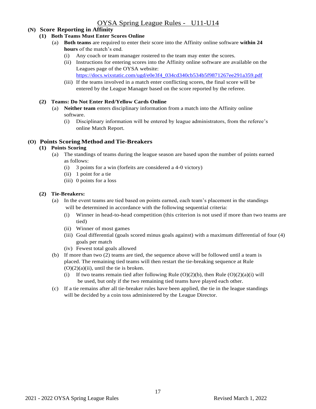#### **(N) Score Reporting in Affinity**

#### **(1) Both Teams Must Enter Scores Online**

- (a) **Both teams** are required to enter their score into the Affinity online software **within 24 hours** of the match's end.
	- (i) Any coach or team manager rostered to the team may enter the scores.
	- (ii) Instructions for entering scores into the Affinity online software are available on the Leagues page of the OYSA website:
		- [https://docs.wixstatic.com/ugd/e0e3f4\\_034cd340cb534b5f9871267ee291a359.pdf](https://docs.wixstatic.com/ugd/e0e3f4_034cd340cb534b5f9871267ee291a359.pdf)
	- (iii) If the teams involved in a match enter conflicting scores, the final score will be entered by the League Manager based on the score reported by the referee.

#### **(2) Teams: Do Not Enter Red/Yellow Cards Online**

- (a) **Neither team** enters disciplinary information from a match into the Affinity online software.
	- (i) Disciplinary information will be entered by league administrators, from the referee's online Match Report.

#### **(O) Points Scoring Method and Tie-Breakers**

#### **(1) Points Scoring**

- (a) The standings of teams during the league season are based upon the number of points earned as follows:
	- (i) 3 points for a win (forfeits are considered a 4-0 victory)
	- (ii) 1 point for a tie
	- (iii) 0 points for a loss

#### **(2) Tie-Breakers:**

- (a) In the event teams are tied based on points earned, each team's placement in the standings will be determined in accordance with the following sequential criteria:
	- (i) Winner in head-to-head competition (this criterion is not used if more than two teams are tied)
	- (ii) Winner of most games
	- (iii) Goal differential (goals scored minus goals against) with a maximum differential of four (4) goals per match
	- (iv) Fewest total goals allowed
- (b) If more than two (2) teams are tied, the sequence above will be followed until a team is placed. The remaining tied teams will then restart the tie-breaking sequence at Rule  $(O)(2)(a)(ii)$ , until the tie is broken.
	- (i) If two teams remain tied after following Rule  $(O)(2)(b)$ , then Rule  $(O)(2)(a)(i)$  will be used, but only if the two remaining tied teams have played each other.
- (c) If a tie remains after all tie-breaker rules have been applied, the tie in the league standings will be decided by a coin toss administered by the League Director.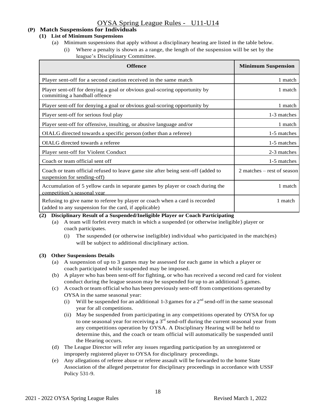#### **(P) Match Suspensions for Individuals**

#### **(1) List of Minimum Suspensions**

- (a) Minimum suspensions that apply without a disciplinary hearing are listed in the table below.
	- (i) Where a penalty is shown as a range, the length of the suspension will be set by the league's Disciplinary Committee.

| <b>Offence</b>                                                                                                                       | <b>Minimum Suspension</b>    |
|--------------------------------------------------------------------------------------------------------------------------------------|------------------------------|
| Player sent-off for a second caution received in the same match                                                                      | 1 match                      |
| Player sent-off for denying a goal or obvious goal-scoring opportunity by<br>committing a handball offence                           | 1 match                      |
| Player sent-off for denying a goal or obvious goal-scoring opportunity by                                                            | 1 match                      |
| Player sent-off for serious foul play                                                                                                | 1-3 matches                  |
| Player sent-off for offensive, insulting, or abusive language and/or                                                                 | 1 match                      |
| OIALG directed towards a specific person (other than a referee)                                                                      | 1-5 matches                  |
| OIALG directed towards a referee                                                                                                     | 1-5 matches                  |
| Player sent-off for Violent Conduct                                                                                                  | 2-3 matches                  |
| Coach or team official sent off                                                                                                      | 1-5 matches                  |
| Coach or team official refused to leave game site after being sent-off (added to<br>suspension for sending-off)                      | $2$ matches – rest of season |
| Accumulation of 5 yellow cards in separate games by player or coach during the<br>competition's seasonal year                        | 1 match                      |
| Refusing to give name to referee by player or coach when a card is recorded<br>(added to any suspension for the card, if applicable) | 1 match                      |

#### **(2) Disciplinary Result of a Suspended/Ineligible Player or Coach Participating**

- (a) A team will forfeit every match in which a suspended (or otherwise ineligible) player or coach participates.
	- (i) The suspended (or otherwise ineligible) individual who participated in the match(es) will be subject to additional disciplinary action.

#### <span id="page-17-0"></span>**(3) Other Suspensions Details**

- (a) A suspension of up to 3 games may be assessed for each game in which a player or coach participated while suspended may be imposed.
- (b) A player who has been sent-off for fighting, or who has received a second red card for violent conduct during the league season may be suspended for up to an additional 5 games.
- (c) A coach or team official who has been previously sent-off from competitions operated by OYSA in the same seasonal year:
	- (i) Will be suspended for an additional 1-3 games for a  $2<sup>nd</sup>$  send-off in the same seasonal year for all competitions.
	- (ii) May be suspended from participating in any competitions operated by OYSA for up to one seasonal year for receiving a  $3<sup>rd</sup>$  send-off during the current seasonal year from any competitions operation by OYSA. A Disciplinary Hearing will be held to determine this, and the coach or team official will automatically be suspended until the Hearing occurs.
- (d) The League Director will refer any issues regarding participation by an unregistered or improperly registered player to OYSA for disciplinary proceedings.
- (e) Any allegations of referee abuse or referee assault will be forwarded to the home State Association of the alleged perpetrator for disciplinary proceedings in accordance with USSF Policy 531-9.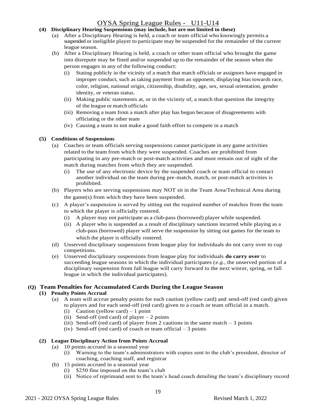#### **(4) Disciplinary Hearing Suspensions (may include, but are not limited to these)**

- (a) After a Disciplinary Hearing is held, a coach or team official who knowingly permits a suspended or ineligible player to participate may be suspended for the remainder of the current league season.
- (b) After a Disciplinary Hearing is held, a coach or other team official who brought the game into disrepute may be fined and/or suspended up to the remainder of the season when the person engages in any of the following conduct:
	- (i) Stating publicly in the vicinity of a match that match officials or assignors have engaged in improper conduct, such as taking payment from an opponent, displaying bias towards race, color, religion, national origin, citizenship, disability, age, sex, sexual orientation, gender identity, or veteran status.
	- (ii) Making public statements at, or in the vicinity of, a match that question the integrity of the league or match officials
	- (iii) Removing a team from a match after play has begun because of disagreements with officiating or the other team
	- (iv) Causing a team to not make a good faith effort to compete in a match

#### **(5) Conditions of Suspensions**

- (a) Coaches or team officials serving suspensions cannot participate in any game activities related to the team from which they were suspended. Coaches are prohibited from participating in any pre-match or post-match activities and must remain out of sight of the match during matches from which they are suspended.
	- (i) The use of any electronic device by the suspended coach or team official to contact another individual on the team during pre-match, match, or post-match activities is prohibited.
- (b) Players who are serving suspensions may NOT sit in the Team Area/Technical Area during the game(s) from which they have been suspended.
- (c) A player's suspension is served by sitting out the required number of matches from the team to which the player is officially rostered.
	- (i) A player may not participate as a club-pass (borrowed) player while suspended.
	- (ii) A player who is suspended as a result of disciplinary sanctions incurred while playing as a club-pass (borrowed) player will serve the suspension by sitting out games for the team to which the player is officially rostered.
- (d) Unserved disciplinary suspensions from league play for individuals do not carry over to cup competitions.
- (e) Unserved disciplinary suspensions from league play for individuals **do carry over** to succeeding league seasons in which the individual participates (*e.g.,* the unserved portion of a disciplinary suspension from fall league will carry forward to the next winter, spring, or fall league in which the individual participates).

#### **(Q) Team Penalties for Accumulated Cards During the League Season**

#### **(1) Penalty Points Accrual**

- (a) A team will accrue penalty points for each caution (yellow card) and send-off (red card) given to players and for each send-off (red card) given to a coach or team official in a match.
	- (i) Caution (yellow card)  $-1$  point
	- (ii) Send-off (red card) of player  $-2$  points
	- (iii) Send-off (red card) of player from 2 cautions in the same match  $-3$  points
	- (iv) Send-off (red card) of coach or team official  $-3$  points

#### **(2) League Disciplinary Action from Points Accrual**

- (a) 10 points accrued in a seasonal year
	- (i) Warning to the team's administrators with copies sent to the club's president, director of coaching, coaching staff, and registrar
- (b) 15 points accrued in a seasonal year
	- (i) \$250 fine imposed on the team's club
	- (ii) Notice of reprimand sent to the team's head coach detailing the team's disciplinary record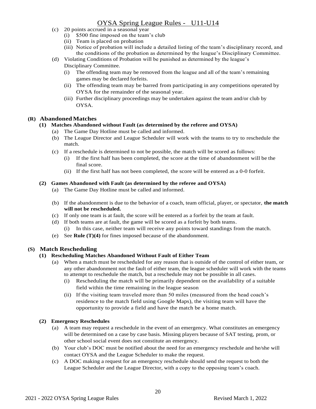- (c) 20 points accrued in a seasonal year
	- (i) \$500 fine imposed on the team's club
	- (ii) Team is placed on probation
	- (iii) Notice of probation will include a detailed listing of the team's disciplinary record, and the conditions of the probation as determined by the league's Disciplinary Committee.
- (d) Violating Conditions of Probation will be punished as determined by the league's Disciplinary Committee.
	- (i) The offending team may be removed from the league and all of the team's remaining games may be declared forfeits.
	- (ii) The offending team may be barred from participating in any competitions operated by OYSA for the remainder of the seasonal year.
	- (iii) Further disciplinary proceedings may be undertaken against the team and/or club by OYSA.

#### **(R) Abandoned Matches**

#### **(1) Matches Abandoned without Fault (as determined by the referee and OYSA)**

- (a) The Game Day Hotline must be called and informed.
- (b) The League Director and League Scheduler will work with the teams to try to reschedule the match.
- (c) If a reschedule is determined to not be possible, the match will be scored as follows:
	- (i) If the first half has been completed, the score at the time of abandonment will be the final score.
- (ii) If the first half has not been completed, the score will be entered as a 0-0 forfeit.

#### **(2) Games Abandoned with Fault (as determined by the referee and OYSA)**

- (a) The Game Day Hotline must be called and informed.
- (b) If the abandonment is due to the behavior of a coach, team official, player, or spectator, **the match will not be rescheduled.**
- (c) If only one team is at fault, the score will be entered as a forfeit by the team at fault.
- (d) If both teams are at fault, the game will be scored as a forfeit by both teams. (i) In this case, neither team will receive any points toward standings from the match.
- (e) See **Rule (T)(4)** for fines imposed because of the abandonment.

#### **(S) Match Rescheduling**

#### **(1) Rescheduling Matches Abandoned Without Fault of Either Team**

- (a) When a match must be rescheduled for any reason that is outside of the control of either team, or any other abandonment not the fault of either team, the league scheduler will work with the teams to attempt to reschedule the match, but a reschedule may not be possible in all cases.
	- (i) Rescheduling the match will be primarily dependent on the availability of a suitable field within the time remaining in the league season
	- (ii) If the visiting team traveled more than 50 miles (measured from the head coach's residence to the match field using Google Maps), the visiting team will have the opportunity to provide a field and have the match be a home match.

#### **(2) Emergency Reschedules**

- (a) A team may request a reschedule in the event of an emergency. What constitutes an emergency will be determined on a case by case basis. Missing players because of SAT testing, prom, or other school social event does not constitute an emergency.
- (b) Your club's DOC must be notified about the need for an emergency reschedule and he/she will contact OYSA and the League Scheduler to make the request.
- (c) A DOC making a request for an emergency reschedule should send the request to both the League Scheduler and the League Director, with a copy to the opposing team's coach.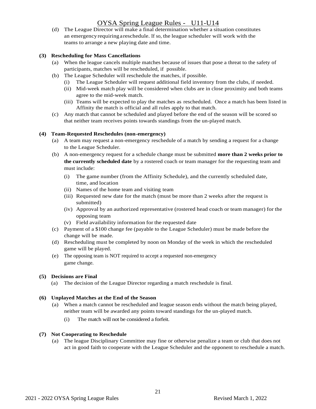(d) The League Director will make a final determination whether a situation constitutes an emergencyrequiringareschedule. If so, the league scheduler will work with the teams to arrange a new playing date and time.

#### **(3) Rescheduling for Mass Cancellations**

- (a) When the league cancels multiple matches because of issues that pose a threat to the safety of participants, matches will be rescheduled, if possible.
- (b) The League Scheduler will reschedule the matches, if possible.
	- (i) The League Scheduler will request additional field inventory from the clubs, if needed.
	- (ii) Mid-week match play will be considered when clubs are in close proximity and both teams agree to the mid-week match.
	- (iii) Teams will be expected to play the matches as rescheduled. Once a match has been listed in Affinity the match is official and all rules apply to that match.
- (c) Any match that cannot be scheduled and played before the end of the season will be scored so that neither team receives points towards standings from the un-played match.

#### **(4) Team-Requested Reschedules (non-emergency)**

- (a) A team may request a non-emergency reschedule of a match by sending a request for a change to the League Scheduler.
- (b) A non-emergency request for a schedule change must be submitted **more than 2 weeks prior to the currently scheduled date** by a rostered coach or team manager for the requesting team and must include:
	- (i) The game number (from the Affinity Schedule), and the currently scheduled date, time, and location
	- (ii) Names of the home team and visiting team
	- (iii) Requested new date for the match (must be more than 2 weeks after the request is submitted)
	- (iv) Approval by an authorized representative (rostered head coach or team manager) for the opposing team
	- (v) Field availability information for the requested date
- (c) Payment of a \$100 change fee (payable to the League Scheduler) must be made before the change will be made.
- (d) Rescheduling must be completed by noon on Monday of the week in which the rescheduled game will be played.
- (e) The opposing team is NOT required to accept a requested non-emergency game change.

#### **(5) Decisions are Final**

(a) The decision of the League Director regarding a match reschedule is final.

#### **(6) Unplayed Matches at the End of the Season**

- (a) When a match cannot be rescheduled and league season ends without the match being played, neither team will be awarded any points toward standings for the un-played match.
	- (i) The match will not be considered a forfeit.

#### **(7) Not Cooperating to Reschedule**

(a) The league Disciplinary Committee may fine or otherwise penalize a team or club that does not act in good faith to cooperate with the League Scheduler and the opponent to reschedule a match.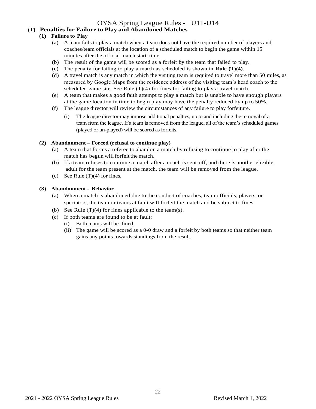#### **(T) Penalties for Failure to Play and Abandoned Matches**

#### **(1) Failure to Play**

- (a) A team fails to play a match when a team does not have the required number of players and coaches/team officials at the location of a scheduled match to begin the game within 15 minutes after the official match start time.
- (b) The result of the game will be scored as a forfeit by the team that failed to play.
- (c) The penalty for failing to play a match as scheduled is shown in **Rule [\(T\)\(4\)](#page-22-0)**.
- (d) A travel match is any match in which the visiting team is required to travel more than 50 miles, as measured by Google Maps from the residence address of the visiting team's head coach to the scheduled game site. See Rule  $(T)(4)$  for fines for failing to play a travel match.
- (e) A team that makes a good faith attempt to play a match but is unable to have enough players at the game location in time to begin play may have the penalty reduced by up to 50%.
- (f) The league director will review the circumstances of any failure to play forfeiture.
	- (i) The league director may impose additional penalties, up to and including the removal of a team from the league. If a team is removed from the league, all of the team's scheduled games (played or un-played) will be scored as forfeits.

#### <span id="page-21-1"></span>**(2) Abandonment – Forced (refusal to continue play)**

- (a) A team that forces a referee to abandon a match by refusing to continue to play after the match has begun will forfeit the match.
- (b) If a team refuses to continue a match after a coach is sent-off, and there is another eligible adult for the team present at the match, the team will be removed from the league.
- (c) See Rule  $(T)(4)$  for fines.

#### <span id="page-21-0"></span>**(3) Abandonment - Behavior**

- (a) When a match is abandoned due to the conduct of coaches, team officials, players, or spectators, the team or teams at fault will forfeit the match and be subject to fines.
- (b) See Rule  $(T)(4)$  for fines applicable to the team(s).
- (c) If both teams are found to be at fault:
	- (i) Both teams will be fined.
	- (ii) The game will be scored as a 0-0 draw and a forfeit by both teams so that neither team gains any points towards standings from the result.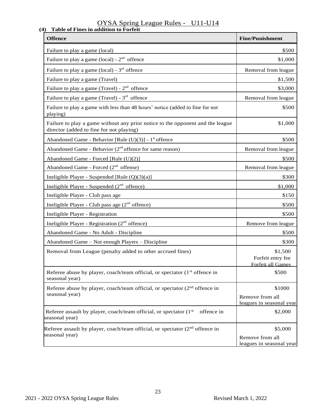#### <span id="page-22-0"></span>OYSA Spring League Rules - U11-U14 **(4) Table of Fines in addition to Forfeit**

| <b>Offence</b>                                                                                                             | <b>Fine/Punishment</b>                                 |
|----------------------------------------------------------------------------------------------------------------------------|--------------------------------------------------------|
| Failure to play a game (local)                                                                                             | \$500                                                  |
| Failure to play a game (local) - $2nd$ offence                                                                             | \$1,000                                                |
| Failure to play a game (local) - $3rd$ offence                                                                             | Removal from league                                    |
| Failure to play a game (Travel)                                                                                            | \$1,500                                                |
| Failure to play a game (Travel) - $2nd$ offence                                                                            | \$3,000                                                |
| Failure to play a game (Travel) - $3^{rd}$ offence                                                                         | Removal from league                                    |
| Failure to play a game with less than 48 hours' notice (added to fine for not<br>playing)                                  | \$500                                                  |
| Failure to play a game without any prior notice to the opponent and the league<br>director (added to fine for not playing) | \$1,000                                                |
| Abandoned Game - Behavior [Rule (U)(3)] - 1 <sup>st</sup> offence                                                          | \$500                                                  |
| Abandoned Game - Behavior ( $2nd$ offence for same reason)                                                                 | Removal from league                                    |
| Abandoned Game - Forced [Rule (U)(2)]                                                                                      | \$500                                                  |
| Abandoned Game - Forced $(2nd$ offense)                                                                                    | Removal from league                                    |
| Ineligible Player - Suspended [Rule (Q)(3)(a)]                                                                             | \$300                                                  |
| Ineligible Player - Suspended $(2nd$ offence)                                                                              | \$1,000                                                |
| Ineligible Player - Club pass age                                                                                          | \$150                                                  |
| Ineligible Player - Club pass age (2 <sup>nd</sup> offence)                                                                | \$500                                                  |
| Ineligible Player - Registration                                                                                           | \$500                                                  |
| Ineligible Player - Registration (2 <sup>nd</sup> offence)                                                                 | Remove from league                                     |
| Abandoned Game - No Adult - Discipline                                                                                     | \$500                                                  |
| Abandoned Game - Not enough Players - Discipline                                                                           | \$300                                                  |
| Removal from League (penalty added to other accrued fines)                                                                 | \$1,500<br>Forfeit entry fee<br>Forfeit all Games      |
| Referee abuse by player, coach/team official, or spectator (1 <sup>st</sup> offence in<br>seasonal year)                   | \$500                                                  |
| Referee abuse by player, coach/team official, or spectator (2 <sup>nd</sup> offence in<br>seasonal year)                   | \$1000<br>Remove from all<br>leagues in seasonal year  |
| Referee assault by player, coach/team official, or spectator (1 <sup>st</sup> )<br>offence in<br>seasonal year)            | \$2,000                                                |
| Referee assault by player, coach/team official, or spectator $(2nd$ offence in<br>seasonal year)                           | \$5,000<br>Remove from all<br>leagues in seasonal year |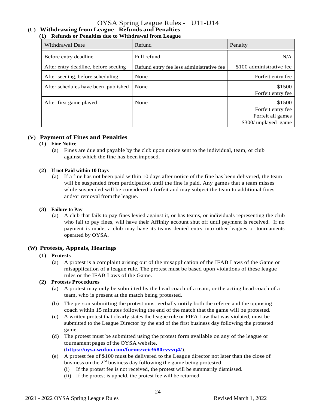#### **(U) Withdrawing from League - Refunds and Penalties (1) Refunds or Penalties due to Withdrawal from League**

| Withdrawal Date                      | Refund                                   | Penalty                                                                  |
|--------------------------------------|------------------------------------------|--------------------------------------------------------------------------|
| Before entry deadline                | Full refund                              | N/A                                                                      |
| After entry deadline, before seeding | Refund entry fee less administrative fee | \$100 administrative fee                                                 |
| After seeding, before scheduling     | None                                     | Forfeit entry fee                                                        |
| After schedules have been published  | None                                     | \$1500<br>Forfeit entry fee                                              |
| After first game played              | None                                     | \$1500<br>Forfeit entry fee<br>Forfeit all games<br>\$300/ unplayed game |

#### **(V) Payment of Fines and Penalties**

#### **(1) Fine Notice**

(a) Fines are due and payable by the club upon notice sent to the individual, team, or club against which the fine has been imposed.

#### **(2) If not Paid within 10 Days**

(a) If a fine has not been paid within 10 days after notice of the fine has been delivered, the team will be suspended from participation until the fine is paid. Any games that a team misses while suspended will be considered a forfeit and may subject the team to additional fines and/or removal fromthe league.

#### **(3) Failure to Pay**

(a) A club that fails to pay fines levied against it, or has teams, or individuals representing the club who fail to pay fines, will have their Affinity account shut off until payment is received. If no payment is made, a club may have its teams denied entry into other leagues or tournaments operated by OYSA.

#### **(W) Protests, Appeals, Hearings**

#### **(1) Protests**

(a) A protest is a complaint arising out of the misapplication of the IFAB Laws of the Game or misapplication of a league rule. The protest must be based upon violations of these league rules or the IFAB Laws of the Game.

#### **(2) Protests Procedures**

- (a) A protest may only be submitted by the head coach of a team, or the acting head coach of a team, who is present at the match being protested.
- (b) The person submitting the protest must verbally notify both the referee and the opposing coach within 15 minutes following the end of the match that the game will be protested.
- (c) A written protest that clearly states the league rule or FIFA Law that was violated, must be submitted to the League Director by the end of the first business day following the protested game.
- (d) The protest must be submitted using the protest form available on any of the league or tournament pages of the OYSA website. (**<https://oysa.wufoo.com/forms/zeic9i80cvvvq4/>**).
- (e) A protest fee of \$100 must be delivered to the League director not later than the close of business on the  $2<sup>nd</sup>$  business day following the game being protested.
	- (i) If the protest fee is not received, the protest will be summarily dismissed.
	- (ii) If the protest is upheld, the protest fee will be returned.